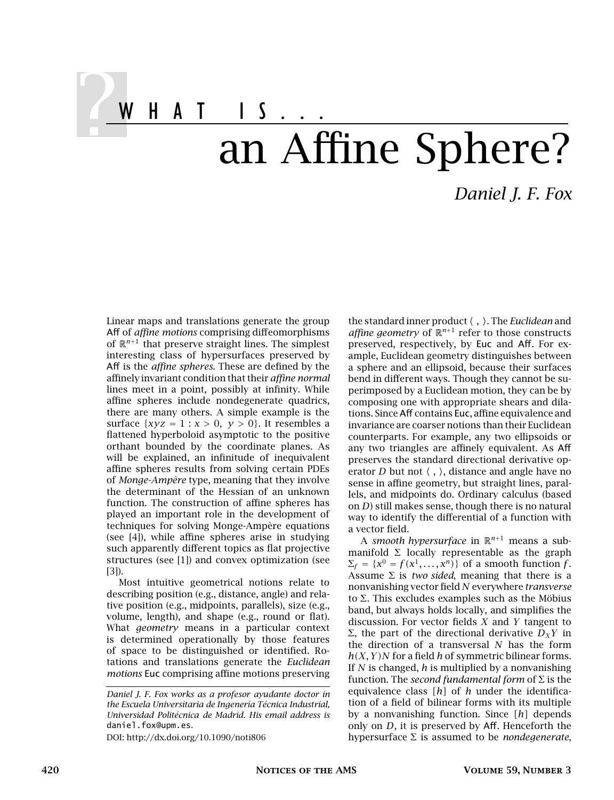WHAT IS... an Affine Sphere?

Linear maps and translations generate the group Aff of *affine motions* comprising diffeomorphisms of  $\mathbb{R}^{n+1}$  that preserve straight lines. The simplest interesting class of hypersurfaces preserved by Aff is the *affine spheres*. These are defined by the affinely invariant condition that their *affine normal* lines meet in a point, possibly at infinity. While affine spheres include nondegenerate quadrics, there are many others. A simple example is the surface  $\{xyz = 1 : x > 0, y > 0\}$ . It resembles a flattened hyperboloid asymptotic to the positive orthant bounded by the coordinate planes. As will be explained, an infinitude of inequivalent affine spheres results from solving certain PDEs of *Monge-Ampère* type, meaning that they involve the determinant of the Hessian of an unknown function. The construction of affine spheres has played an important role in the development of techniques for solving Monge-Ampère equations (see [4]), while affine spheres arise in studying such apparently different topics as flat projective structures (see [1]) and convex optimization (see [3]).

Most intuitive geometrical notions relate to describing position (e.g., distance, angle) and relative position (e.g., midpoints, parallels), size (e.g., volume, length), and shape (e.g., round or flat). What *geometry* means in a particular context is determined operationally by those features of space to be distinguished or identified. Rotations and translations generate the *Euclidean motions* Euc comprising affine motions preserving

DOI: http://dx.doi.org/10.1090/noti806

the standard inner product  $\langle , \rangle$ . The *Euclidean* and affine geometry of  $\mathbb{R}^{n+1}$  refer to those constructs preserved, respectively, by Euc and Aff. For example, Euclidean geometry distinguishes between a sphere and an ellipsoid, because their surfaces bend in different ways. Though they cannot be superimposed by a Euclidean motion, they can be by composing one with appropriate shears and dilations. SinceAff contains Euc, affine equivalence and invariance are coarser notions than their Euclidean counterparts. For example, any two ellipsoids or any two triangles are affinely equivalent. As Aff preserves the standard directional derivative operator *D* but not  $\langle , \rangle$ , distance and angle have no sense in affine geometry, but straight lines, parallels, and midpoints do. Ordinary calculus (based on *D*) still makes sense, though there is no natural way to identify the differential of a function with a vector field.

A *smooth hypersurface* in  $\mathbb{R}^{n+1}$  means a submanifold  $\Sigma$  locally representable as the graph  $\Sigma_f = \{x^0 = f(x^1, \ldots, x^n)\}\$  of a smooth function *f*. Assume  $\Sigma$  is *two sided*, meaning that there is a nonvanishing vector field *N* everywhere *transverse* to <sup>Σ</sup>. This excludes examples such as the Möbius band, but always holds locally, and simplifies the discussion. For vector fields *X* and *Y* tangent to <sup>Σ</sup>, the part of the directional derivative *<sup>D</sup><sup>X</sup> <sup>Y</sup>* in the direction of a transversal *N* has the form *h(X, Y )N* for a field *h* of symmetric bilinear forms. If *N* is changed, *h* is multiplied by a nonvanishing function. The *second fundamental form* of <sup>Σ</sup> is the equivalence class *[h]* of *h* under the identification of a field of bilinear forms with its multiple by a nonvanishing function. Since *[h]* depends only on *D*, it is preserved by Aff. Henceforth the hypersurface <sup>Σ</sup> is assumed to be *nondegenerate*,

*Daniel J. F. Fox*

*Daniel J. F. Fox works as a profesor ayudante doctor in the Escuela Universitaria de Ingenería Técnica Industrial, Universidad Politécnica de Madrid. His email address is* daniel.fox@upm.es*.*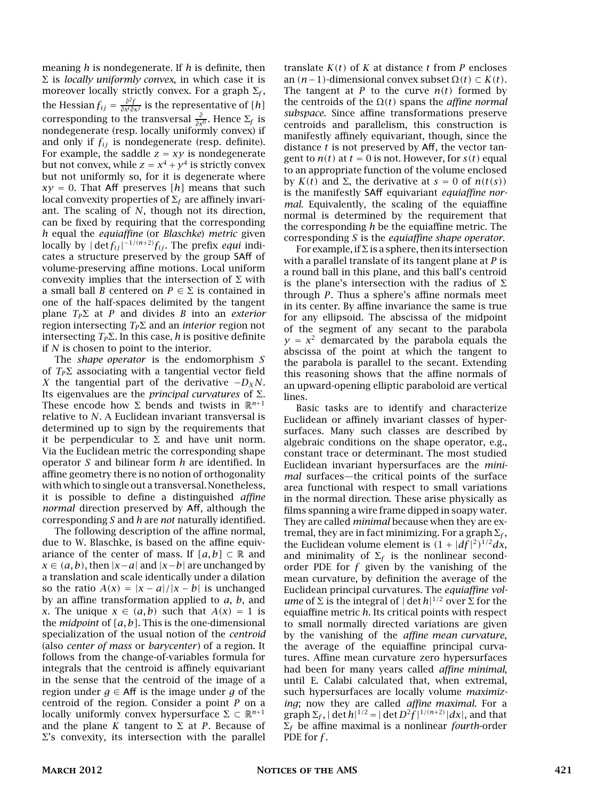meaning *h* is nondegenerate. If *h* is definite, then <sup>Σ</sup> is *locally uniformly convex*, in which case it is moreover locally strictly convex. For a graph <sup>Σ</sup>*<sup>f</sup>* moreover locally strictly convex. For a graph  $\Sigma_f$ , the Hessian  $f_{ij} = \frac{\partial^2 f}{\partial x^i \partial x^j}$  is the representative of  $[h]$ corresponding to the transversal  $\frac{\partial}{\partial x^{0}}$ . Hence  $\Sigma_{f}$  is nondegenerate (resp. locally uniformly convex) if and only if *fij* is nondegenerate (resp. definite). For example, the saddle  $z = xy$  is nondegenerate but not convex, while  $z = x^4 + y^4$  is strictly convex but not uniformly so, for it is degenerate where  $xy = 0$ . That Aff preserves [h] means that such local convexity properties of <sup>Σ</sup>*<sup>f</sup>* are affinely invariant. The scaling of *N*, though not its direction, can be fixed by requiring that the corresponding *h* equal the *equiaffine* (or *Blaschke*) *metric* given locally by  $|\det f_{ij}|^{-1/(n+2)} f_{ij}$ . The prefix *equi* indicates a structure preserved by the group SAff of volume-preserving affine motions. Local uniform convexity implies that the intersection of  $\Sigma$  with a small ball *B* centered on  $P \in \Sigma$  is contained in one of the half-spaces delimited by the tangent plane *<sup>T</sup><sup>P</sup>*<sup>Σ</sup> at *<sup>P</sup>* and divides *<sup>B</sup>* into an *exterior* region intersecting *<sup>T</sup><sup>P</sup>*<sup>Σ</sup> and an *interior* region not intersecting *<sup>T</sup><sup>P</sup>*Σ. In this case, *<sup>h</sup>* is positive definite if *N* is chosen to point to the interior.

The *shape operator* is the endomorphism *S* of  $T_p \Sigma$  associating with a tangential vector field *X* the tangential part of the derivative  $-D_XN$ . Its eigenvalues are the *principal curvatures* of <sup>Σ</sup>. These encode how  $\Sigma$  bends and twists in  $\mathbb{R}^{n+1}$ relative to *N*. A Euclidean invariant transversal is determined up to sign by the requirements that it be perpendicular to  $\Sigma$  and have unit norm. Via the Euclidean metric the corresponding shape operator *S* and bilinear form *h* are identified. In affine geometry there is no notion of orthogonality with which to single out a transversal. Nonetheless, it is possible to define a distinguished *affine normal* direction preserved by Aff, although the corresponding *S* and *h* are *not* naturally identified.

The following description of the affine normal, due to W. Blaschke, is based on the affine equivariance of the center of mass. If  $[a, b] \subset \mathbb{R}$  and *x* ∈  $(a, b)$ , then  $|x - a|$  and  $|x - b|$  are unchanged by a translation and scale identically under a dilation so the ratio  $A(x) = |x - a|/|x - b|$  is unchanged by an affine transformation applied to *a*, *b*, and *x*. The unique  $x \in (a, b)$  such that  $A(x) = 1$  is the *midpoint* of *[a, b]*. This is the one-dimensional specialization of the usual notion of the *centroid* (also *center of mass* or *barycenter* ) of a region. It follows from the change-of-variables formula for integrals that the centroid is affinely equivariant in the sense that the centroid of the image of a region under  $g \in Aff$  is the image under g of the centroid of the region. Consider a point *P* on a locally uniformly convex hypersurface  $\Sigma \subset \mathbb{R}^{n+1}$ and the plane *K* tangent to  $\Sigma$  at *P*. Because of  $Σ's$  convexity, its intersection with the parallel

translate  $K(t)$  of  $K$  at distance  $t$  from  $P$  encloses an *(n*−1*)*-dimensional convex subset <sup>Ω</sup>*(t)* <sup>⊂</sup> *K(t)*. The tangent at *P* to the curve  $n(t)$  formed by the centroids of the <sup>Ω</sup>*(t)* spans the *affine normal subspace*. Since affine transformations preserve centroids and parallelism, this construction is manifestly affinely equivariant, though, since the distance *t* is not preserved by Aff, the vector tangent to  $n(t)$  at  $t = 0$  is not. However, for  $s(t)$  equal to an appropriate function of the volume enclosed by *K(t)* and <sup>Σ</sup>, the derivative at *<sup>s</sup>* <sup>=</sup> 0 of *n(t(s))* is the manifestly SAff equivariant *equiaffine normal*. Equivalently, the scaling of the equiaffine normal is determined by the requirement that the corresponding *h* be the equiaffine metric. The corresponding *S* is the *equiaffine shape operator*.

For example, if  $\Sigma$  is a sphere, then its intersection with a parallel translate of its tangent plane at *P* is a round ball in this plane, and this ball's centroid is the plane's intersection with the radius of  $\Sigma$ through *P*. Thus a sphere's affine normals meet in its center. By affine invariance the same is true for any ellipsoid. The abscissa of the midpoint of the segment of any secant to the parabola  $y = x^2$  demarcated by the parabola equals the abscissa of the point at which the tangent to the parabola is parallel to the secant. Extending this reasoning shows that the affine normals of an upward-opening elliptic paraboloid are vertical lines.

Basic tasks are to identify and characterize Euclidean or affinely invariant classes of hypersurfaces. Many such classes are described by algebraic conditions on the shape operator, e.g., constant trace or determinant. The most studied Euclidean invariant hypersurfaces are the *minimal* surfaces—the critical points of the surface area functional with respect to small variations in the normal direction. These arise physically as films spanning a wire frame dipped in soapy water. They are called *minimal* because when they are extremal, they are in fact minimizing. For a graph <sup>Σ</sup>*<sup>f</sup>* , the Euclidean volume element is  $(1 + |df|^2)^{1/2}dx$ , and minimality of  $\Sigma_f$  is the nonlinear secondorder PDE for *f* given by the vanishing of the mean curvature, by definition the average of the Euclidean principal curvatures. The *equiaffine volume* of  $\Sigma$  is the integral of  $|\det h|^{1/2}$  over  $\Sigma$  for the equiaffine metric *h*. Its critical points with respect to small normally directed variations are given by the vanishing of the *affine mean curvature*, the average of the equiaffine principal curvatures. Affine mean curvature zero hypersurfaces had been for many years called *affine minimal*, until E. Calabi calculated that, when extremal, such hypersurfaces are locally volume *maximizing*; now they are called *affine maximal*. For a  $\sum f_i$ ,  $\det h^{1/2} = |\det D^2 f|^{1/(n+2)} |dx|$ , and that <sup>Σ</sup>*<sup>f</sup>* be affine maximal is a nonlinear *fourth*-order PDE for *f* .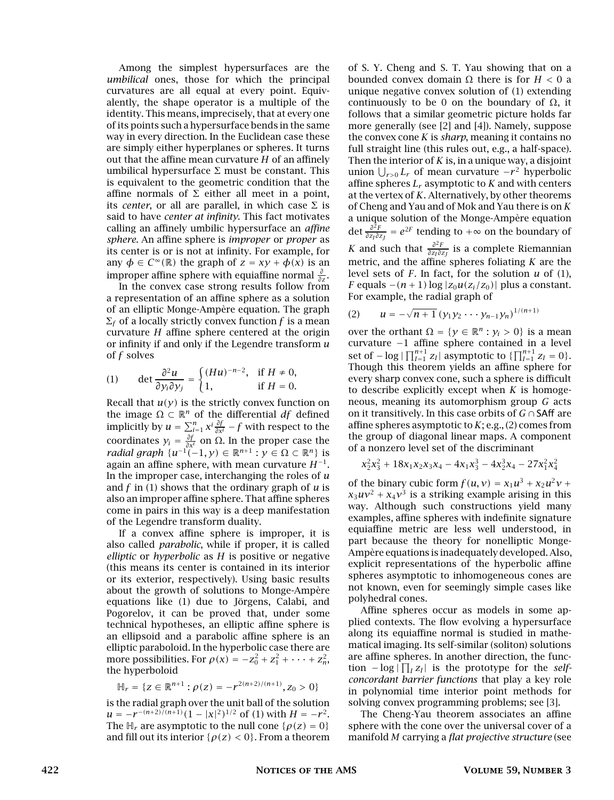Among the simplest hypersurfaces are the *umbilical* ones, those for which the principal curvatures are all equal at every point. Equivalently, the shape operator is a multiple of the identity. This means, imprecisely, that at every one of its points such a hypersurface bends in the same way in every direction. In the Euclidean case these are simply either hyperplanes or spheres. It turns out that the affine mean curvature *H* of an affinely umbilical hypersurface  $\Sigma$  must be constant. This is equivalent to the geometric condition that the affine normals of Σ either all meet in a point, its *center*, or all are parallel, in which case  $\Sigma$  is said to have *center at infinity*. This fact motivates calling an affinely umbilic hypersurface an *affine sphere*. An affine sphere is *improper* or *proper* as its center is or is not at infinity. For example, for any  $\phi \in C^{\infty}(\mathbb{R})$  the graph of  $z = xy + \phi(x)$  is an improper affine sphere with equiaffine normal *<sup>∂</sup> ∂z* .

In the convex case strong results follow from a representation of an affine sphere as a solution of an elliptic Monge-Ampère equation. The graph  $\Sigma_f$  of a locally strictly convex function *f* is a mean curvature *H* affine sphere centered at the origin or infinity if and only if the Legendre transform *u* of *f* solves

(1) det 
$$
\frac{\partial^2 u}{\partial y_i \partial y_j}
$$
 =  $\begin{cases} (Hu)^{-n-2}, & \text{if } H \neq 0, \\ 1, & \text{if } H = 0. \end{cases}$ 

Recall that  $u(y)$  is the strictly convex function on the image  $Ω ⊂ ℝ<sup>n</sup>$  of the differential *df* defined implicitly by  $u = \sum_{i=1}^{n} x^{i} \frac{\partial f}{\partial x^{i}} - f$  with respect to the coordinates  $y_i = \frac{\partial f}{\partial x^i}$  on  $\Omega$ . In the proper case the *radial graph*  $\{u^{-1}(-1, y) \in \mathbb{R}^{n+1} : y \in \Omega \subset \mathbb{R}^n\}$  is again an affine sphere, with mean curvature *H*−<sup>1</sup> . In the improper case, interchanging the roles of *u* and *f* in (1) shows that the ordinary graph of *u* is also an improper affine sphere. That affine spheres come in pairs in this way is a deep manifestation of the Legendre transform duality.

If a convex affine sphere is improper, it is also called *parabolic*, while if proper, it is called *elliptic* or *hyperbolic* as *H* is positive or negative (this means its center is contained in its interior or its exterior, respectively). Using basic results about the growth of solutions to Monge-Ampère equations like (1) due to Jörgens, Calabi, and Pogorelov, it can be proved that, under some technical hypotheses, an elliptic affine sphere is an ellipsoid and a parabolic affine sphere is an elliptic paraboloid. In the hyperbolic case there are more possibilities. For  $\rho(x) = -z_0^2 + z_1^2 + \cdots + z_n^2$ , the hyperboloid

$$
\mathbb{H}_r = \{ z \in \mathbb{R}^{n+1} : \rho(z) = -r^{2(n+2)/(n+1)}, z_0 > 0 \}
$$

is the radial graph over the unit ball of the solution  $u = -r^{-(n+2)/(n+1)}(1 - |x|^2)^{1/2}$  of (1) with  $H = -r^2$ . The  $H_r$  are asymptotic to the null cone  $\{\rho(z) = 0\}$ and fill out its interior  $\{\rho(z) < 0\}$ . From a theorem of S. Y. Cheng and S. T. Yau showing that on a bounded convex domain <sup>Ω</sup> there is for *H <* 0 a unique negative convex solution of (1) extending continuously to be 0 on the boundary of <sup>Ω</sup>, it follows that a similar geometric picture holds far more generally (see [2] and [4]). Namely, suppose the convex cone *K* is *sharp*, meaning it contains no full straight line (this rules out, e.g., a half-space). Then the interior of *K* is, in a unique way, a disjoint union  $\bigcup_{r>0} L_r$  of mean curvature −*r*<sup>2</sup> hyperbolic affine spheres *L<sup>r</sup>* asymptotic to *K* and with centers at the vertex of *K*. Alternatively, by other theorems of Cheng and Yau and of Mok and Yau there is on *K* a unique solution of the Monge-Ampère equation det *<sup>∂</sup>* 2*F*  $\frac{\partial^2 F}{\partial z_I \partial z_J} = e^{2F}$  tending to +∞ on the boundary of *K* and such that  $\frac{\partial^2 F}{\partial x \partial y}$ *∂zI∂zJ* is a complete Riemannian metric, and the affine spheres foliating *K* are the level sets of *F*. In fact, for the solution *u* of (1), *F* equals  $-(n + 1) \log |z_0 u(z_i/z_0)|$  plus a constant. For example, the radial graph of

(2) 
$$
u = -\sqrt{n+1} (y_1 y_2 \cdots y_{n-1} y_n)^{1/(n+1)}
$$

over the orthant  $\Omega = \{y \in \mathbb{R}^n : y_i > 0\}$  is a mean curvature −1 affine sphere contained in a level set of  $-$  log  $| \prod_{I=1}^{n+1} z_I |$  asymptotic to  $\{ \prod_{I=1}^{n+1} z_I = 0 \}$ . Though this theorem yields an affine sphere for every sharp convex cone, such a sphere is difficult to describe explicitly except when *K* is homogeneous, meaning its automorphism group *G* acts on it transitively. In this case orbits of *<sup>G</sup>* <sup>∩</sup>SAff are affine spheres asymptotic to *K*; e.g., (2) comes from the group of diagonal linear maps. A component of a nonzero level set of the discriminant

$$
x_2^2x_3^2+18x_1x_2x_3x_4-4x_1x_3^3-4x_2^3x_4-27x_1^2x_4^2\\
$$

of the binary cubic form  $f(u, v) = x_1 u^3 + x_2 u^2 v +$  $x_3uv^2 + x_4v^3$  is a striking example arising in this way. Although such constructions yield many examples, affine spheres with indefinite signature equiaffine metric are less well understood, in part because the theory for nonelliptic Monge-Ampère equations is inadequately developed. Also, explicit representations of the hyperbolic affine spheres asymptotic to inhomogeneous cones are not known, even for seemingly simple cases like polyhedral cones.

Affine spheres occur as models in some applied contexts. The flow evolving a hypersurface along its equiaffine normal is studied in mathematical imaging. Its self-similar (soliton) solutions are affine spheres. In another direction, the function  $-\log|\prod_{I} z_{I}|$  is the prototype for the *selfconcordant barrier functions* that play a key role in polynomial time interior point methods for solving convex programming problems; see [3].

The Cheng-Yau theorem associates an affine sphere with the cone over the universal cover of a manifold *M* carrying a *flat projective structure* (see